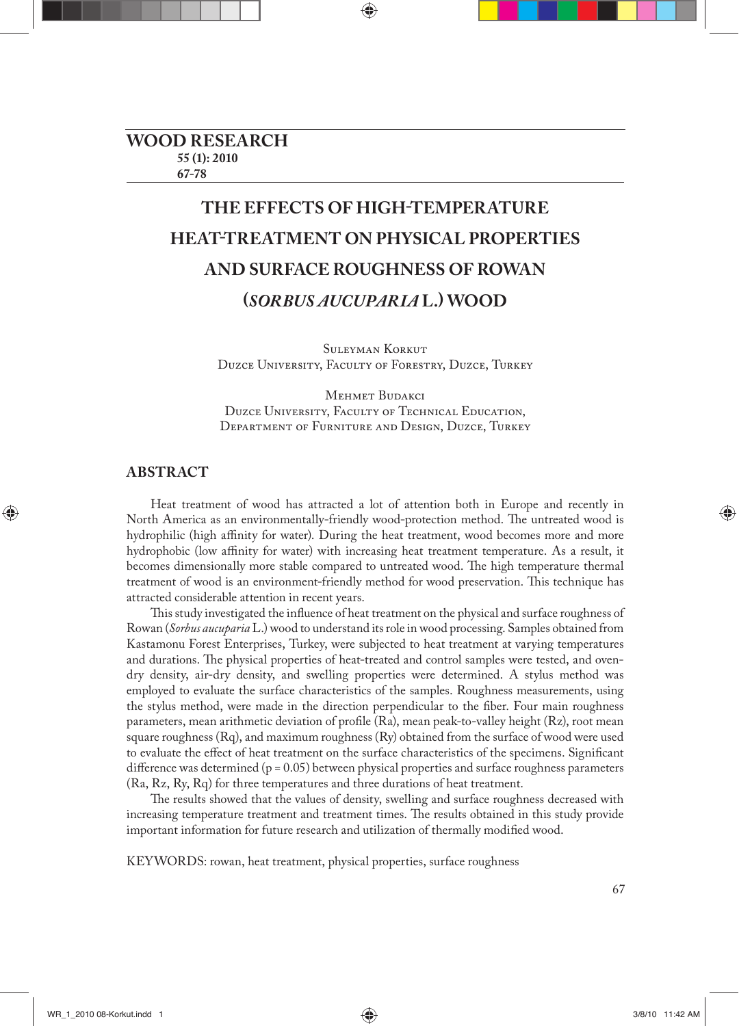# **THE EFFECTS OF HIGH-TEMPERATURE HEAT-TREATMENT ON PHYSICAL PROPERTIES AND SURFACE ROUGHNESS OF ROWAN (***SORBUS AUCUPARIA* **L.) WOOD**

Suleyman Korkut Duzce University, Faculty of Forestry, Duzce, Turkey

Mehmet Budakci Duzce University, Faculty of Technical Education, Department of Furniture and Design, Duzce, Turkey

# **ABSTRACT**

Heat treatment of wood has attracted a lot of attention both in Europe and recently in North America as an environmentally-friendly wood-protection method. The untreated wood is hydrophilic (high affinity for water). During the heat treatment, wood becomes more and more hydrophobic (low affinity for water) with increasing heat treatment temperature. As a result, it becomes dimensionally more stable compared to untreated wood. The high temperature thermal treatment of wood is an environment-friendly method for wood preservation. This technique has attracted considerable attention in recent years.

This study investigated the influence of heat treatment on the physical and surface roughness of Rowan (*Sorbus aucuparia* L.) wood to understand its role in wood processing. Samples obtained from Kastamonu Forest Enterprises, Turkey, were subjected to heat treatment at varying temperatures and durations. The physical properties of heat-treated and control samples were tested, and ovendry density, air-dry density, and swelling properties were determined. A stylus method was employed to evaluate the surface characteristics of the samples. Roughness measurements, using the stylus method, were made in the direction perpendicular to the fiber. Four main roughness parameters, mean arithmetic deviation of profile (Ra), mean peak-to-valley height (Rz), root mean square roughness (Rq), and maximum roughness (Ry) obtained from the surface of wood were used to evaluate the effect of heat treatment on the surface characteristics of the specimens. Significant difference was determined ( $p = 0.05$ ) between physical properties and surface roughness parameters (Ra, Rz, Ry, Rq) for three temperatures and three durations of heat treatment.

The results showed that the values of density, swelling and surface roughness decreased with increasing temperature treatment and treatment times. The results obtained in this study provide important information for future research and utilization of thermally modified wood.

KEYWORDS: rowan, heat treatment, physical properties, surface roughness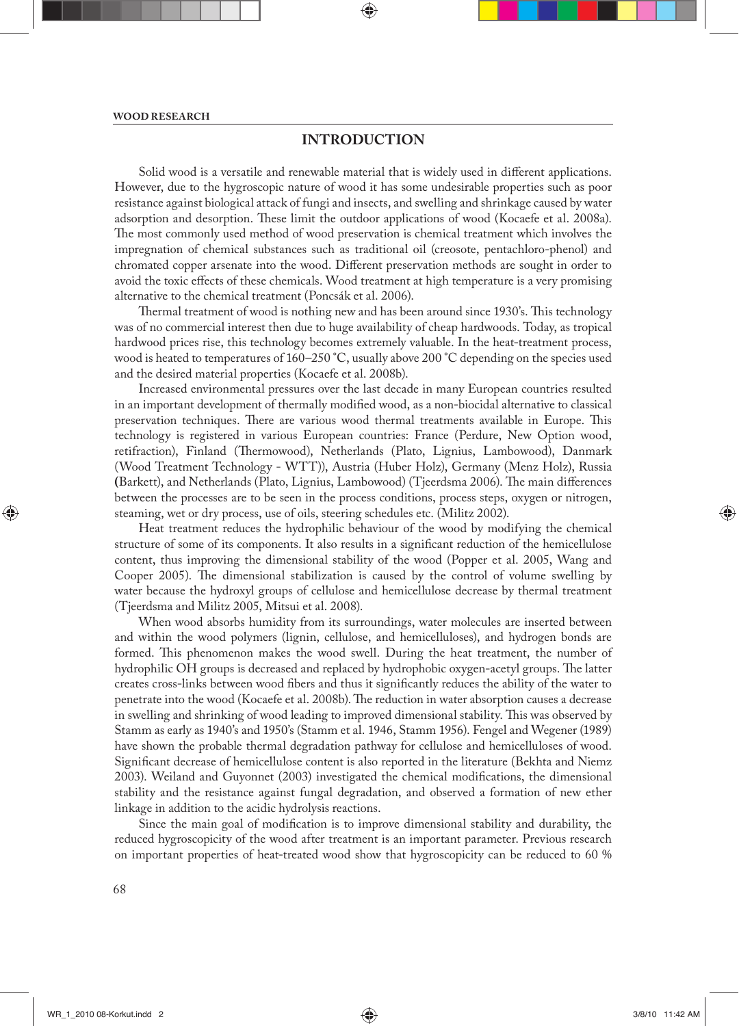# **INTRODUCTION**

Solid wood is a versatile and renewable material that is widely used in different applications. However, due to the hygroscopic nature of wood it has some undesirable properties such as poor resistance against biological attack of fungi and insects, and swelling and shrinkage caused by water adsorption and desorption. These limit the outdoor applications of wood (Kocaefe et al. 2008a). The most commonly used method of wood preservation is chemical treatment which involves the impregnation of chemical substances such as traditional oil (creosote, pentachloro-phenol) and chromated copper arsenate into the wood. Different preservation methods are sought in order to avoid the toxic effects of these chemicals. Wood treatment at high temperature is a very promising alternative to the chemical treatment (Poncsák et al. 2006).

Thermal treatment of wood is nothing new and has been around since 1930's. This technology was of no commercial interest then due to huge availability of cheap hardwoods. Today, as tropical hardwood prices rise, this technology becomes extremely valuable. In the heat-treatment process, wood is heated to temperatures of 160–250 °C, usually above 200 °C depending on the species used and the desired material properties (Kocaefe et al. 2008b).

Increased environmental pressures over the last decade in many European countries resulted in an important development of thermally modified wood, as a non-biocidal alternative to classical preservation techniques. There are various wood thermal treatments available in Europe. This technology is registered in various European countries: France (Perdure, New Option wood, retifraction), Finland (Thermowood), Netherlands (Plato, Lignius, Lambowood), Danmark (Wood Treatment Technology - WTT)), Austria (Huber Holz), Germany (Menz Holz), Russia (Barkett), and Netherlands (Plato, Lignius, Lambowood) (Tjeerdsma 2006). The main differences between the processes are to be seen in the process conditions, process steps, oxygen or nitrogen, steaming, wet or dry process, use of oils, steering schedules etc. (Militz 2002).

Heat treatment reduces the hydrophilic behaviour of the wood by modifying the chemical structure of some of its components. It also results in a significant reduction of the hemicellulose content, thus improving the dimensional stability of the wood (Popper et al. 2005, Wang and Cooper 2005). The dimensional stabilization is caused by the control of volume swelling by water because the hydroxyl groups of cellulose and hemicellulose decrease by thermal treatment (Tjeerdsma and Militz 2005, Mitsui et al. 2008).

When wood absorbs humidity from its surroundings, water molecules are inserted between and within the wood polymers (lignin, cellulose, and hemicelluloses), and hydrogen bonds are formed. This phenomenon makes the wood swell. During the heat treatment, the number of hydrophilic OH groups is decreased and replaced by hydrophobic oxygen-acetyl groups. The latter creates cross-links between wood fibers and thus it significantly reduces the ability of the water to penetrate into the wood (Kocaefe et al. 2008b). The reduction in water absorption causes a decrease in swelling and shrinking of wood leading to improved dimensional stability. This was observed by Stamm as early as 1940's and 1950's (Stamm et al. 1946, Stamm 1956). Fengel and Wegener (1989) have shown the probable thermal degradation pathway for cellulose and hemicelluloses of wood. Significant decrease of hemicellulose content is also reported in the literature (Bekhta and Niemz 2003). Weiland and Guyonnet (2003) investigated the chemical modifications, the dimensional stability and the resistance against fungal degradation, and observed a formation of new ether linkage in addition to the acidic hydrolysis reactions.

Since the main goal of modification is to improve dimensional stability and durability, the reduced hygroscopicity of the wood after treatment is an important parameter. Previous research on important properties of heat-treated wood show that hygroscopicity can be reduced to 60 %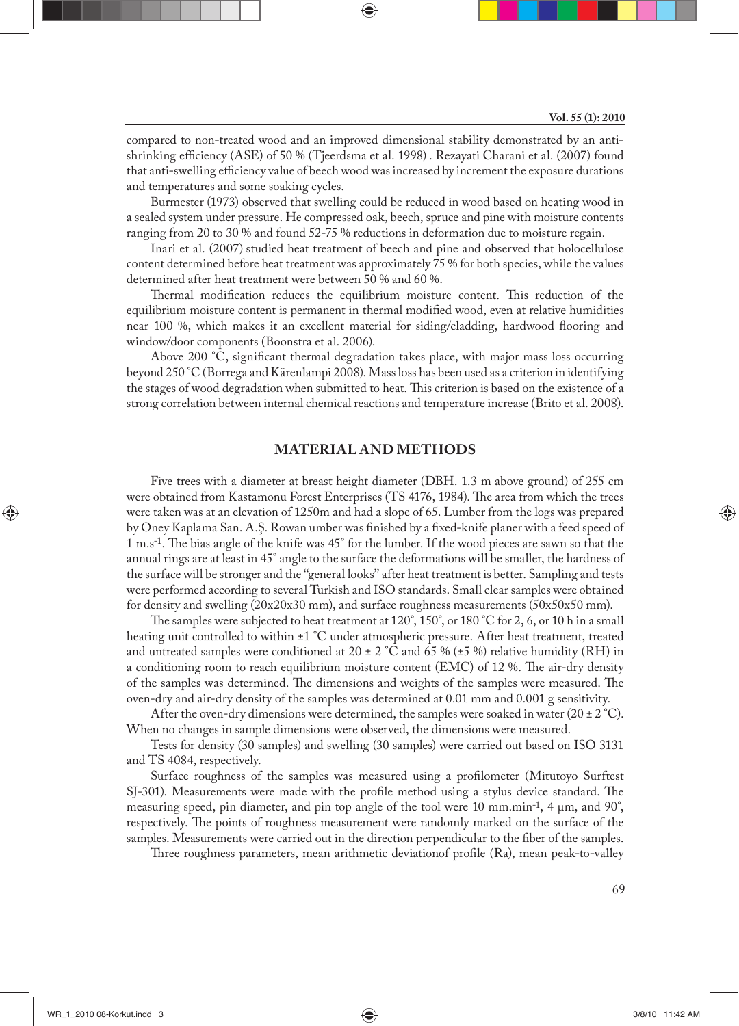compared to non-treated wood and an improved dimensional stability demonstrated by an antishrinking efficiency (ASE) of 50 % (Tjeerdsma et al. 1998). Rezayati Charani et al. (2007) found that anti-swelling efficiency value of beech wood was increased by increment the exposure durations and temperatures and some soaking cycles.

Burmester (1973) observed that swelling could be reduced in wood based on heating wood in a sealed system under pressure. He compressed oak, beech, spruce and pine with moisture contents ranging from 20 to 30 % and found 52-75 % reductions in deformation due to moisture regain.

Inari et al. (2007) studied heat treatment of beech and pine and observed that holocellulose content determined before heat treatment was approximately 75 % for both species, while the values determined after heat treatment were between 50 % and 60 %.

Thermal modification reduces the equilibrium moisture content. This reduction of the equilibrium moisture content is permanent in thermal modified wood, even at relative humidities near 100 %, which makes it an excellent material for siding/cladding, hardwood flooring and window/door components (Boonstra et al. 2006).

Above 200  $^{\circ}$ C, significant thermal degradation takes place, with major mass loss occurring beyond 250 °C (Borrega and Kärenlampi 2008). Mass loss has been used as a criterion in identifying the stages of wood degradation when submitted to heat. This criterion is based on the existence of a strong correlation between internal chemical reactions and temperature increase (Brito et al. 2008).

# **MATERIAL AND METHODS**

Five trees with a diameter at breast height diameter (DBH. 1.3 m above ground) of 255 cm were obtained from Kastamonu Forest Enterprises (TS 4176, 1984). The area from which the trees were taken was at an elevation of 1250m and had a slope of 65. Lumber from the logs was prepared by Oney Kaplama San. A.S. Rowan umber was finished by a fixed-knife planer with a feed speed of 1 m.s-1. Th e bias angle of the knife was 45° for the lumber. If the wood pieces are sawn so that the annual rings are at least in 45° angle to the surface the deformations will be smaller, the hardness of the surface will be stronger and the ''general looks'' after heat treatment is better. Sampling and tests were performed according to several Turkish and ISO standards. Small clear samples were obtained for density and swelling  $(20x20x30 \text{ mm})$ , and surface roughness measurements  $(50x50x50 \text{ mm})$ .

The samples were subjected to heat treatment at  $120^\circ$ ,  $150^\circ$ , or  $180^\circ$ C for 2, 6, or 10 h in a small heating unit controlled to within ±1 °C under atmospheric pressure. After heat treatment, treated and untreated samples were conditioned at 20  $\pm$  2 °C and 65 % ( $\pm$ 5 %) relative humidity (RH) in a conditioning room to reach equilibrium moisture content (EMC) of 12 %. The air-dry density of the samples was determined. The dimensions and weights of the samples were measured. The oven-dry and air-dry density of the samples was determined at 0.01 mm and 0.001 g sensitivity.

After the oven-dry dimensions were determined, the samples were soaked in water (20  $\pm$  2 °C). When no changes in sample dimensions were observed, the dimensions were measured.

Tests for density (30 samples) and swelling (30 samples) were carried out based on ISO 3131 and TS 4084, respectively.

Surface roughness of the samples was measured using a profilometer (Mitutoyo Surftest SJ-301). Measurements were made with the profile method using a stylus device standard. The measuring speed, pin diameter, and pin top angle of the tool were 10 mm.min-1, 4 μm, and 90°, respectively. The points of roughness measurement were randomly marked on the surface of the samples. Measurements were carried out in the direction perpendicular to the fiber of the samples.

Three roughness parameters, mean arithmetic deviationof profile (Ra), mean peak-to-valley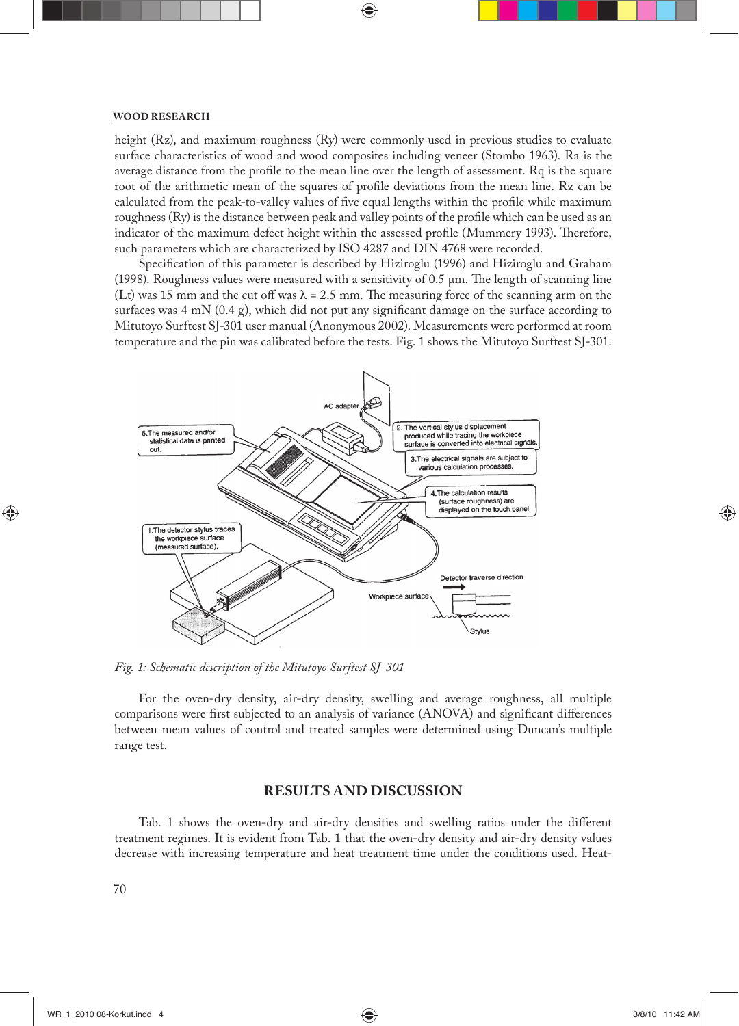## **WOOD RESEARCH**

height (Rz), and maximum roughness (Ry) were commonly used in previous studies to evaluate surface characteristics of wood and wood composites including veneer (Stombo 1963). Ra is the average distance from the profile to the mean line over the length of assessment. Rq is the square root of the arithmetic mean of the squares of profile deviations from the mean line. Rz can be calculated from the peak-to-valley values of five equal lengths within the profile while maximum roughness (Ry) is the distance between peak and valley points of the profile which can be used as an indicator of the maximum defect height within the assessed profile (Mummery 1993). Therefore, such parameters which are characterized by ISO 4287 and DIN 4768 were recorded.

Specification of this parameter is described by Hiziroglu (1996) and Hiziroglu and Graham (1998). Roughness values were measured with a sensitivity of  $0.5 \mu m$ . The length of scanning line (Lt) was 15 mm and the cut off was  $\lambda = 2.5$  mm. The measuring force of the scanning arm on the surfaces was  $4 \text{ mN } (0.4 \text{ g})$ , which did not put any significant damage on the surface according to Mitutoyo Surftest SJ-301 user manual (Anonymous 2002). Measurements were performed at room temperature and the pin was calibrated before the tests. Fig. 1 shows the Mitutoyo Surftest SJ-301.



*Fig. 1: Schematic description of the Mitutoyo Surftest SJ-301*

For the oven-dry density, air-dry density, swelling and average roughness, all multiple comparisons were first subjected to an analysis of variance (ANOVA) and significant differences between mean values of control and treated samples were determined using Duncan's multiple range test.

## **RESULTS AND DISCUSSION**

Tab. 1 shows the oven-dry and air-dry densities and swelling ratios under the different treatment regimes. It is evident from Tab. 1 that the oven-dry density and air-dry density values decrease with increasing temperature and heat treatment time under the conditions used. Heat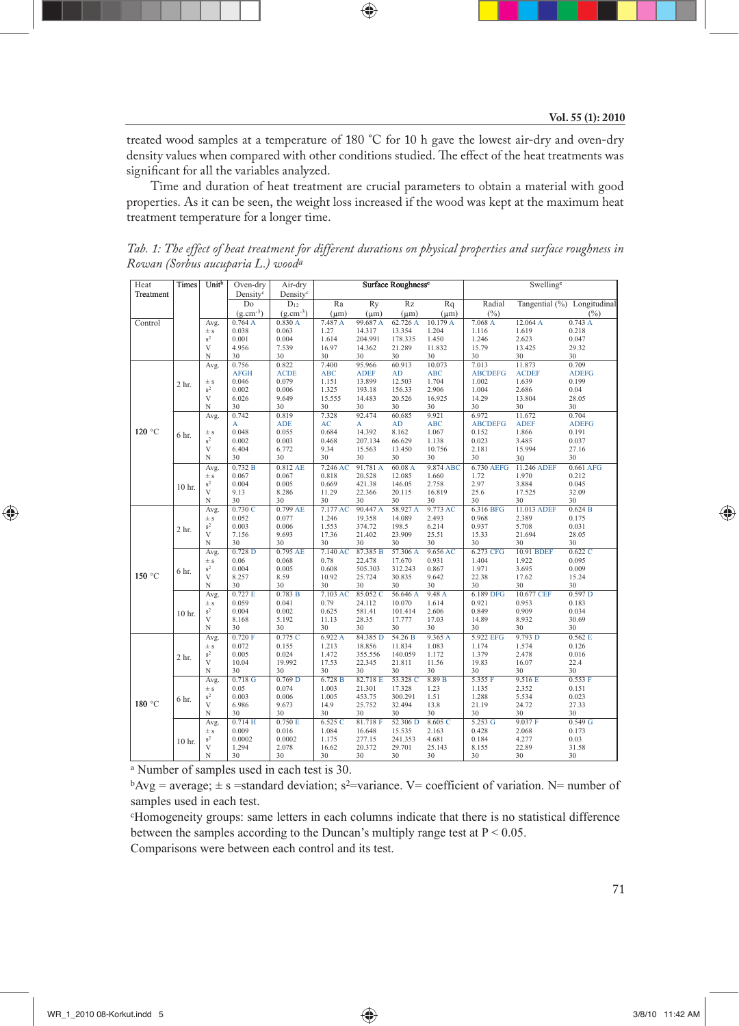treated wood samples at a temperature of 180 °C for 10 h gave the lowest air-dry and oven-dry density values when compared with other conditions studied. The effect of the heat treatments was significant for all the variables analyzed.

Time and duration of heat treatment are crucial parameters to obtain a material with good properties. As it can be seen, the weight loss increased if the wood was kept at the maximum heat treatment temperature for a longer time.

| Heat      | Times            | Unitb            | Oven-dry             | Air-dry              | Surface Roughness <sup>c</sup> |                   |                   |                | Swelling <sup>c</sup> |                      |                             |  |
|-----------|------------------|------------------|----------------------|----------------------|--------------------------------|-------------------|-------------------|----------------|-----------------------|----------------------|-----------------------------|--|
| Treatment |                  |                  | Density <sup>c</sup> | Density <sup>c</sup> |                                |                   |                   |                |                       |                      |                             |  |
|           |                  |                  | Do                   | $D_{12}$             | Ra                             | Ry                | Rz                | Rq             | Radial                |                      | Tangential (%) Longitudinal |  |
|           |                  |                  | $(g.cm^{-3})$        | $(g.cm^{-3})$        | $(\mu m)$                      | $(\mu m)$         | $(\mu m)$         | $(\mu m)$      | $(\%)$                |                      | (%)                         |  |
| Control   |                  | Avg.             | 0.764A               | 0.830A               | 7.487 A                        | 99.687A           | 62.726 A          | 10.179 A       | 7.068 A               | 12.064 A             | 0.743A                      |  |
|           |                  | $\pm$ s          | 0.038                | 0.063                | 1.27                           | 14.317            | 13.354            | 1.204          | 1.116                 | 1.619                | 0.218                       |  |
|           |                  | $\mbox{s}^2$     | 0.001                | 0.004                | 1.614                          | 204.991           | 178.335           | 1.450          | 1.246                 | 2.623                | 0.047                       |  |
|           |                  | V                | 4.956                | 7.539                | 16.97                          | 14.362            | 21.289            | 11.832         | 15.79                 | 13.425               | 29.32                       |  |
|           |                  | N<br>Avg.        | 30<br>0.756          | 30<br>0.822          | 30<br>7.400                    | 30<br>95.966      | 30<br>60.913      | 30<br>10.073   | 30<br>7.013           | 30<br>11.873         | 30<br>0.709                 |  |
| 120 °C    | 2 <sub>hr.</sub> |                  | <b>AFGH</b>          | <b>ACDE</b>          | <b>ABC</b>                     | <b>ADEF</b>       | AD                | <b>ABC</b>     | <b>ABCDEFG</b>        | <b>ACDEF</b>         | <b>ADEFG</b>                |  |
|           |                  | $\pm$ s          | 0.046                | 0.079                | 1.151                          | 13.899            | 12.503            | 1.704          | 1.002                 | 1.639                | 0.199                       |  |
|           |                  | $s^2$            | 0.002                | 0.006                | 1.325                          | 193.18            | 156.33            | 2.906          | 1.004                 | 2.686                | 0.04                        |  |
|           |                  | V                | 6.026                | 9.649                | 15.555                         | 14.483            | 20.526            | 16.925         | 14.29                 | 13.804               | 28.05                       |  |
|           |                  | N                | 30                   | 30                   | 30                             | 30                | 30                | 30             | 30                    | 30                   | 30                          |  |
|           |                  | Avg.             | 0.742                | 0.819                | 7.328                          | 92.474            | 60.685            | 9.921          | 6.972                 | 11.672               | 0.704                       |  |
|           | 6 hr.            |                  | A                    | <b>ADE</b>           | AC                             | A                 | <b>AD</b>         | <b>ABC</b>     | <b>ABCDEFG</b>        | <b>ADEF</b>          | <b>ADEFG</b>                |  |
|           |                  | $\pm$ s          | 0.048                | 0.055                | 0.684                          | 14.392            | 8.162             | 1.067          | 0.152                 | 1.866                | 0.191                       |  |
|           |                  | $s^2$            | 0.002                | 0.003                | 0.468                          | 207.134           | 66.629            | 1.138          | 0.023                 | 3.485                | 0.037                       |  |
|           |                  | V<br>N           | 6.404<br>30          | 6.772<br>30          | 9.34<br>30                     | 15.563<br>30      | 13.450<br>30      | 10.756<br>30   | 2.181<br>30           | 15.994               | 27.16<br>30                 |  |
|           |                  |                  | 0.732 B              | 0.812 AE             | 7.246 AC                       | 91.781 A          | 60.08 A           | 9.874 ABC      | 6.730 AEFG            | 30                   | 0.661 AFG                   |  |
|           |                  | Avg.<br>$\pm$ s  | 0.067                | 0.067                | 0.818                          | 20.528            | 12.085            | 1.660          | 1.72                  | 11.246 ADEF<br>1.970 | 0.212                       |  |
|           |                  | $s^2$            | 0.004                | 0.005                | 0.669                          | 421.38            | 146.05            | 2.758          | 2.97                  | 3.884                | 0.045                       |  |
|           | 10 hr.           | V                | 9.13                 | 8.286                | 11.29                          | 22.366            | 20.115            | 16.819         | 25.6                  | 17.525               | 32.09                       |  |
|           |                  | N                | 30                   | 30                   | 30                             | 30                | 30                | 30             | 30                    | 30                   | 30                          |  |
|           |                  | Avg.             | 0.730C               | $0.799$ AE           | 7.177 AC                       | 90.447 A          | 58.927 A          | 9.773 AC       | 6.316 BFG             | 11.013 ADEF          | 0.624 B                     |  |
|           | 2 <sub>hr.</sub> | $\pm$ s          | 0.052                | 0.077                | 1.246                          | 19.358            | 14.089            | 2.493          | 0.968                 | 2.389                | 0.175                       |  |
|           |                  | $\rm s^2$        | 0.003                | 0.006                | 1.553                          | 374.72            | 198.5             | 6.214          | 0.937                 | 5.708                | 0.031                       |  |
|           |                  | V                | 7.156                | 9.693                | 17.36                          | 21.402            | 23.909            | 25.51          | 15.33                 | 21.694               | 28.05                       |  |
|           |                  | N                | 30                   | 30                   | 30                             | 30                | 30                | 30             | 30                    | 30                   | 30                          |  |
|           |                  | Avg.             | $0.728$ D            | 0.795 AE<br>0.068    | 7.140 AC                       | 87.385 B          | 57.306 A          | 9.656 AC       | 6.273 CFG             | 10.91 BDEF           | 0.622C                      |  |
|           |                  | $\pm$ s<br>$s^2$ | 0.06<br>0.004        | 0.005                | 0.78<br>0.608                  | 22.478<br>505.303 | 17.670<br>312.243 | 0.931<br>0.867 | 1.404<br>1.971        | 1.922<br>3.695       | 0.095<br>0.009              |  |
| 150 °C    | 6 hr.            | V                | 8.257                | 8.59                 | 10.92                          | 25.724            | 30.835            | 9.642          | 22.38                 | 17.62                | 15.24                       |  |
|           |                  | N                | 30                   | 30                   | 30                             | 30                | 30                | 30             | 30                    | 30                   | 30                          |  |
|           |                  | Avg.             | 0.727 E              | 0.783 B              | 7.103 AC                       | 85.052 C          | 56.646 A          | 9.48A          | 6.189 DFG             | 10.677 CEF           | 0.597 <sub>D</sub>          |  |
|           | 10 hr.           | $\pm$ s          | 0.059                | 0.041                | 0.79                           | 24.112            | 10.070            | 1.614          | 0.921                 | 0.953                | 0.183                       |  |
|           |                  | $s^2$            | 0.004                | 0.002                | 0.625                          | 581.41            | 101.414           | 2.606          | 0.849                 | 0.909                | 0.034                       |  |
|           |                  | V                | 8.168                | 5.192                | 11.13                          | 28.35             | 17.777            | 17.03          | 14.89                 | 8.932                | 30.69                       |  |
|           |                  | N                | 30                   | 30                   | 30                             | 30                | 30                | 30             | 30                    | 30                   | 30                          |  |
|           |                  | Avg.             | 0.720 F              | 0.775C               | 6.922 A                        | 84.385 D          | 54.26 B           | 9.365 A        | 5.922 EFG             | 9.793 D              | 0.562 E                     |  |
| 180 °C    | 2 <sub>hr.</sub> | $\pm$ s          | 0.072                | 0.155                | 1.213                          | 18.856            | 11.834            | 1.083          | 1.174                 | 1.574                | 0.126                       |  |
|           |                  | $s^2$<br>V       | 0.005<br>10.04       | 0.024<br>19.992      | 1.472<br>17.53                 | 355.556<br>22.345 | 140.059           | 1.172<br>11.56 | 1.379<br>19.83        | 2.478                | 0.016<br>22.4               |  |
|           |                  | N                | 30                   | 30                   | 30                             | 30                | 21.811<br>30      | 30             | 30                    | 16.07<br>30          | 30                          |  |
|           |                  | Avg.             | 0.718G               | 0.769 <sub>D</sub>   | 6.728 B                        | 82.718 E          | 53.328 C          | 8.89 B         | 5.355 F               | 9.516 E              | 0.553 F                     |  |
|           | 6 hr.            | $\pm$ s          | 0.05                 | 0.074                | 1.003                          | 21.301            | 17.328            | 1.23           | 1.135                 | 2.352                | 0.151                       |  |
|           |                  | $s^2$            | 0.003                | 0.006                | 1.005                          | 453.75            | 300.291           | 1.51           | 1.288                 | 5.534                | 0.023                       |  |
|           |                  | V                | 6.986                | 9.673                | 14.9                           | 25.752            | 32.494            | 13.8           | 21.19                 | 24.72                | 27.33                       |  |
|           |                  | N                | 30                   | 30                   | 30                             | 30                | 30                | 30             | 30                    | 30                   | 30                          |  |
|           |                  | Avg.             | $0.714$ H            | 0.750 E              | 6.525C                         | 81.718 F          | 52.306 D          | 8.605 C        | 5.253 G               | 9.037 F              | 0.549 G                     |  |
|           |                  | $\pm$ s          | 0.009                | 0.016                | 1.084                          | 16.648            | 15.535            | 2.163          | 0.428                 | 2.068                | 0.173                       |  |
|           | 10 hr.           | $s^2$            | 0.0002               | 0.0002               | 1.175                          | 277.15            | 241.353           | 4.681          | 0.184                 | 4.277                | 0.03                        |  |
|           |                  | V<br>N           | 1.294<br>30          | 2.078<br>30          | 16.62<br>30                    | 20.372<br>30      | 29.701<br>30      | 25.143<br>30   | 8.155<br>30           | 22.89<br>30          | 31.58<br>30                 |  |
|           |                  |                  |                      |                      |                                |                   |                   |                |                       |                      |                             |  |

*Tab. 1: The effect of heat treatment for different durations on physical properties and surface roughness in Rowan (Sorbus aucuparia L.) wooda*

a Number of samples used in each test is 30.

 $b$ Avg = average;  $\pm$  s = standard deviation; s<sup>2</sup>=variance. V= coefficient of variation. N= number of samples used in each test.

c Homogeneity groups: same letters in each columns indicate that there is no statistical difference between the samples according to the Duncan's multiply range test at  $P < 0.05$ . Comparisons were between each control and its test.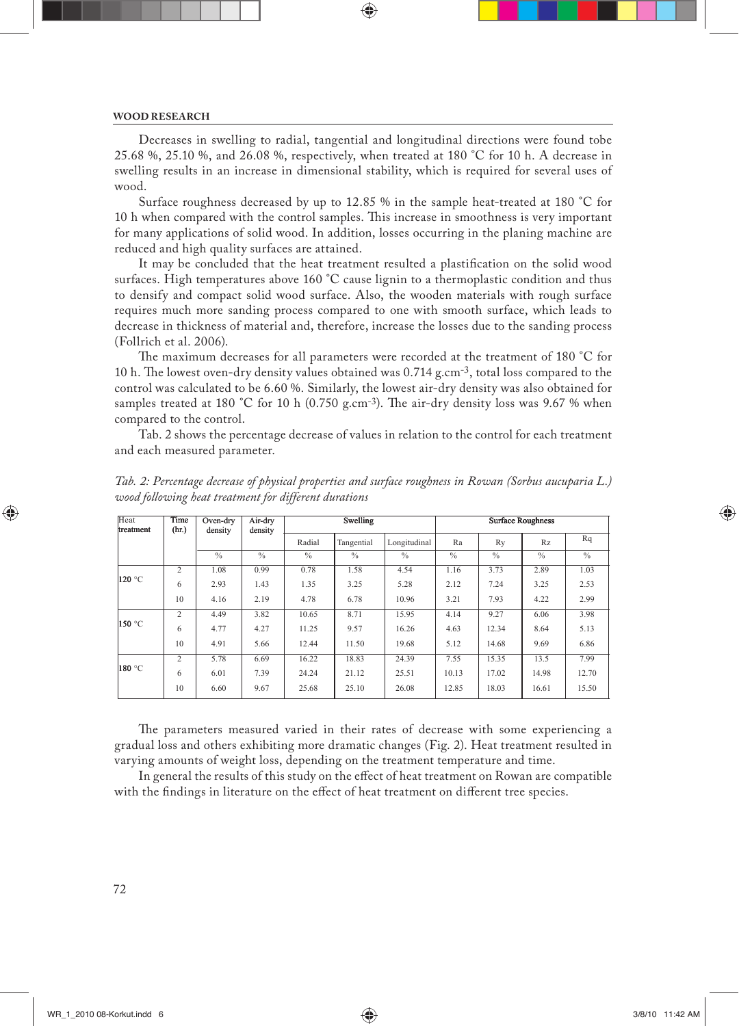### **WOOD RESEARCH**

Decreases in swelling to radial, tangential and longitudinal directions were found tobe 25.68 %, 25.10 %, and 26.08 %, respectively, when treated at 180 °C for 10 h. A decrease in swelling results in an increase in dimensional stability, which is required for several uses of wood.

Surface roughness decreased by up to 12.85 % in the sample heat-treated at 180 °C for 10 h when compared with the control samples. This increase in smoothness is very important for many applications of solid wood. In addition, losses occurring in the planing machine are reduced and high quality surfaces are attained.

It may be concluded that the heat treatment resulted a plastification on the solid wood surfaces. High temperatures above 160 °C cause lignin to a thermoplastic condition and thus to densify and compact solid wood surface. Also, the wooden materials with rough surface requires much more sanding process compared to one with smooth surface, which leads to decrease in thickness of material and, therefore, increase the losses due to the sanding process (Follrich et al. 2006).

The maximum decreases for all parameters were recorded at the treatment of 180 °C for 10 h. The lowest oven-dry density values obtained was 0.714 g.cm<sup>-3</sup>, total loss compared to the control was calculated to be 6.60 %. Similarly, the lowest air-dry density was also obtained for samples treated at 180 °C for 10 h (0.750 g.cm-3). The air-dry density loss was 9.67 % when compared to the control.

Tab. 2 shows the percentage decrease of values in relation to the control for each treatment and each measured parameter.

| Heat<br>treatment | Time<br>(hr.)  | Oven-dry<br>density | Air-dry<br>density |               | Swelling   |               | <b>Surface Roughness</b> |               |               |               |
|-------------------|----------------|---------------------|--------------------|---------------|------------|---------------|--------------------------|---------------|---------------|---------------|
|                   |                |                     |                    | Radial        | Tangential | Longitudinal  | Ra                       | Ry            | Rz            | Rq            |
|                   |                | $\frac{0}{6}$       | $\frac{0}{6}$      | $\frac{0}{0}$ | $\%$       | $\frac{0}{0}$ | $\frac{0}{0}$            | $\frac{0}{0}$ | $\frac{0}{0}$ | $\frac{0}{0}$ |
| 120 °C            | $\overline{c}$ | 1.08                | 0.99               | 0.78          | 1.58       | 4.54          | 1.16                     | 3.73          | 2.89          | 1.03          |
|                   | 6              | 2.93                | 1.43               | 1.35          | 3.25       | 5.28          | 2.12                     | 7.24          | 3.25          | 2.53          |
|                   | 10             | 4.16                | 2.19               | 4.78          | 6.78       | 10.96         | 3.21                     | 7.93          | 4.22          | 2.99          |
| 150 °C            | $\overline{2}$ | 4.49                | 3.82               | 10.65         | 8.71       | 15.95         | 4.14                     | 9.27          | 6.06          | 3.98          |
|                   | 6              | 4.77                | 4.27               | 11.25         | 9.57       | 16.26         | 4.63                     | 12.34         | 8.64          | 5.13          |
|                   | 10             | 4.91                | 5.66               | 12.44         | 11.50      | 19.68         | 5.12                     | 14.68         | 9.69          | 6.86          |
|                   | $\overline{c}$ | 5.78                | 6.69               | 16.22         | 18.83      | 24.39         | 7.55                     | 15.35         | 13.5          | 7.99          |
| 180 °C            | 6              | 6.01                | 7.39               | 24.24         | 21.12      | 25.51         | 10.13                    | 17.02         | 14.98         | 12.70         |
|                   | 10             | 6.60                | 9.67               | 25.68         | 25.10      | 26.08         | 12.85                    | 18.03         | 16.61         | 15.50         |

*Tab. 2: Percentage decrease of physical properties and surface roughness in Rowan (Sorbus aucuparia L.) wood following heat treatment for different durations*

The parameters measured varied in their rates of decrease with some experiencing a gradual loss and others exhibiting more dramatic changes (Fig. 2). Heat treatment resulted in varying amounts of weight loss, depending on the treatment temperature and time.

In general the results of this study on the effect of heat treatment on Rowan are compatible with the findings in literature on the effect of heat treatment on different tree species.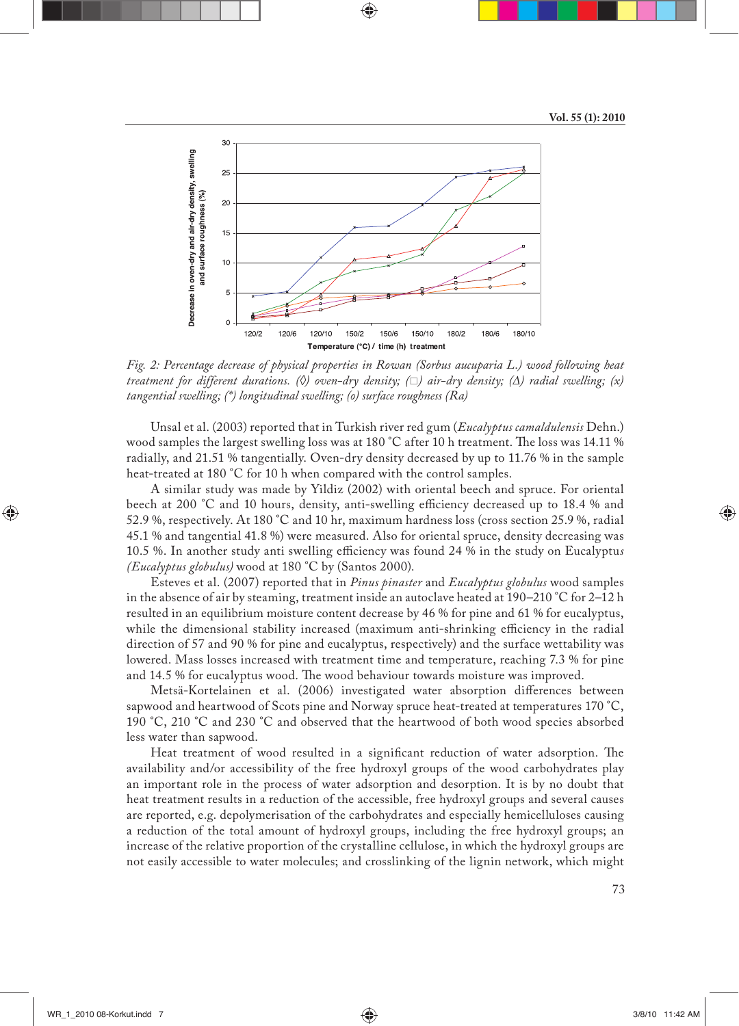

*Fig. 2: Percentage decrease of physical properties in Rowan (Sorbus aucuparia L.) wood following heat treatment for different durations. (◊) oven-dry density; () air-dry density; (Δ) radial swelling; (x) tangential swelling; (\*) longitudinal swelling; (o) surface roughness (Ra)*

Unsal et al. (2003) reported that in Turkish river red gum (*Eucalyptus camaldulensis* Dehn.) wood samples the largest swelling loss was at 180 °C after 10 h treatment. The loss was 14.11 % radially, and 21.51 % tangentially. Oven-dry density decreased by up to 11.76 % in the sample heat-treated at 180 °C for 10 h when compared with the control samples.

A similar study was made by Yildiz (2002) with oriental beech and spruce. For oriental beech at 200 °C and 10 hours, density, anti-swelling efficiency decreased up to 18.4 % and 52.9 %, respectively. At 180 °C and 10 hr, maximum hardness loss (cross section 25.9 %, radial 45.1 % and tangential 41.8 %) were measured. Also for oriental spruce, density decreasing was 10.5 %. In another study anti swelling efficiency was found 24 % in the study on Eucalyptus *(Eucalyptus globulus)* wood at 180 °C by (Santos 2000).

Esteves et al. (2007) reported that in *Pinus pinaster* and *Eucalyptus globulus* wood samples in the absence of air by steaming, treatment inside an autoclave heated at 190–210 °C for 2–12 h resulted in an equilibrium moisture content decrease by 46 % for pine and 61 % for eucalyptus, while the dimensional stability increased (maximum anti-shrinking efficiency in the radial direction of 57 and 90 % for pine and eucalyptus, respectively) and the surface wettability was lowered. Mass losses increased with treatment time and temperature, reaching 7.3 % for pine and 14.5 % for eucalyptus wood. The wood behaviour towards moisture was improved.

Metsä-Kortelainen et al. (2006) investigated water absorption differences between sapwood and heartwood of Scots pine and Norway spruce heat-treated at temperatures 170 °C, 190 °C, 210 °C and 230 °C and observed that the heartwood of both wood species absorbed less water than sapwood.

Heat treatment of wood resulted in a significant reduction of water adsorption. The availability and/or accessibility of the free hydroxyl groups of the wood carbohydrates play an important role in the process of water adsorption and desorption. It is by no doubt that heat treatment results in a reduction of the accessible, free hydroxyl groups and several causes are reported, e.g. depolymerisation of the carbohydrates and especially hemicelluloses causing a reduction of the total amount of hydroxyl groups, including the free hydroxyl groups; an increase of the relative proportion of the crystalline cellulose, in which the hydroxyl groups are not easily accessible to water molecules; and crosslinking of the lignin network, which might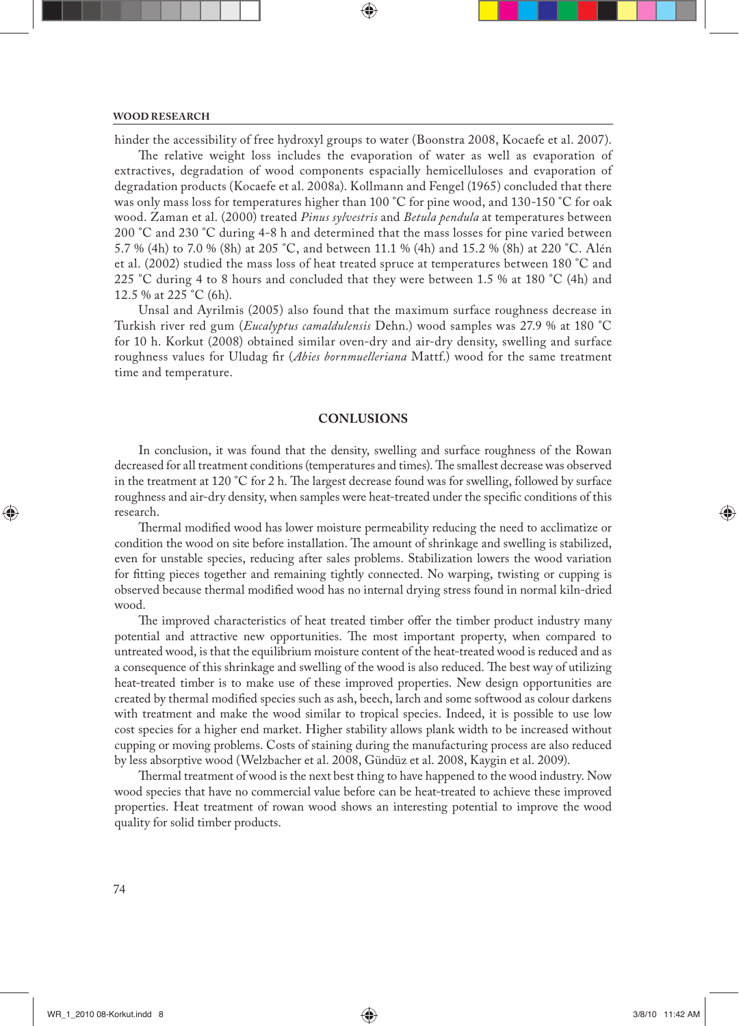## **WOOD RESEARCH**

hinder the accessibility of free hydroxyl groups to water (Boonstra 2008, Kocaefe et al. 2007).

The relative weight loss includes the evaporation of water as well as evaporation of extractives, degradation of wood components espacially hemicelluloses and evaporation of degradation products (Kocaefe et al. 2008a). Kollmann and Fengel (1965) concluded that there was only mass loss for temperatures higher than 100 °C for pine wood, and 130-150 °C for oak wood. Zaman et al. (2000) treated *Pinus sylvestris* and *Betula pendula* at temperatures between 200 °C and 230 °C during 4-8 h and determined that the mass losses for pine varied between 5.7 % (4h) to 7.0 % (8h) at 205 °C, and between 11.1 % (4h) and 15.2 % (8h) at 220 °C. Alén et al. (2002) studied the mass loss of heat treated spruce at temperatures between 180 °C and 225 °C during 4 to 8 hours and concluded that they were between 1.5 % at 180 °C (4h) and 12.5 % at 225 °C (6h).

Unsal and Ayrilmis (2005) also found that the maximum surface roughness decrease in Turkish river red gum (*Eucalyptus camaldulensis* Dehn.) wood samples was 27.9 % at 180 °C for 10 h. Korkut (2008) obtained similar oven-dry and air-dry density, swelling and surface roughness values for Uludag fir (*Abies bornmuelleriana* Mattf.) wood for the same treatment time and temperature.

# **CONLUSIONS**

In conclusion, it was found that the density, swelling and surface roughness of the Rowan decreased for all treatment conditions (temperatures and times). The smallest decrease was observed in the treatment at 120 °C for 2 h. The largest decrease found was for swelling, followed by surface roughness and air-dry density, when samples were heat-treated under the specific conditions of this research.

Thermal modified wood has lower moisture permeability reducing the need to acclimatize or condition the wood on site before installation. The amount of shrinkage and swelling is stabilized, even for unstable species, reducing after sales problems. Stabilization lowers the wood variation for fitting pieces together and remaining tightly connected. No warping, twisting or cupping is observed because thermal modified wood has no internal drying stress found in normal kiln-dried wood.

The improved characteristics of heat treated timber offer the timber product industry many potential and attractive new opportunities. The most important property, when compared to untreated wood, is that the equilibrium moisture content of the heat-treated wood is reduced and as a consequence of this shrinkage and swelling of the wood is also reduced. The best way of utilizing heat-treated timber is to make use of these improved properties. New design opportunities are created by thermal modified species such as ash, beech, larch and some softwood as colour darkens with treatment and make the wood similar to tropical species. Indeed, it is possible to use low cost species for a higher end market. Higher stability allows plank width to be increased without cupping or moving problems. Costs of staining during the manufacturing process are also reduced by less absorptive wood (Welzbacher et al. 2008, Gündüz et al. 2008, Kaygin et al. 2009).

Thermal treatment of wood is the next best thing to have happened to the wood industry. Now wood species that have no commercial value before can be heat-treated to achieve these improved properties. Heat treatment of rowan wood shows an interesting potential to improve the wood quality for solid timber products.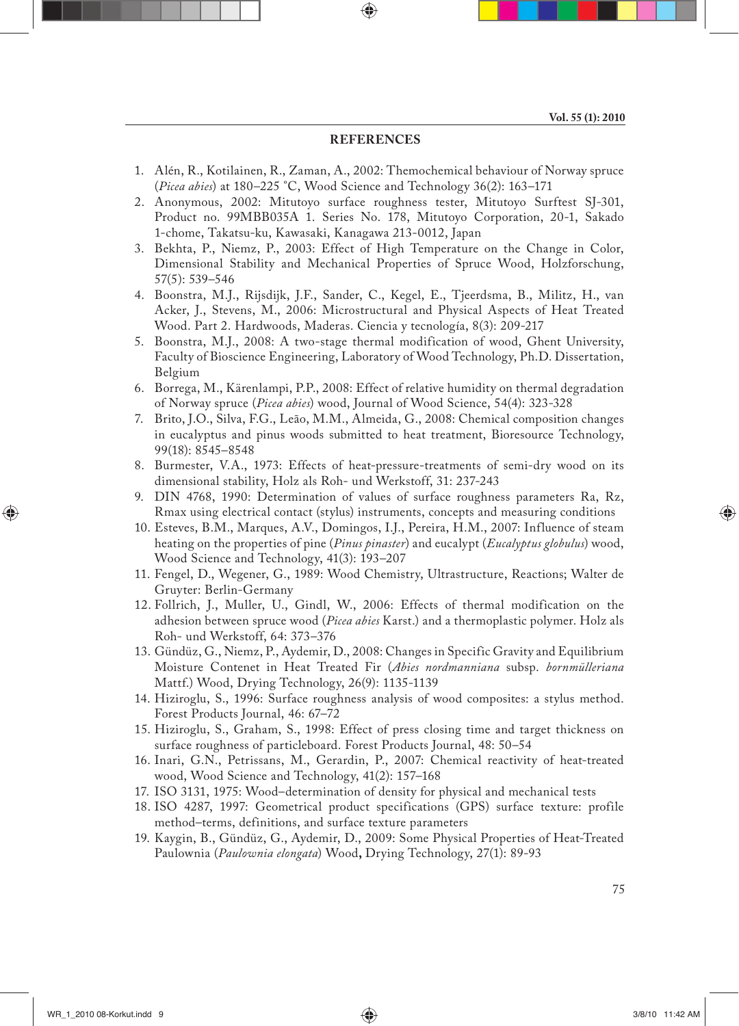# **REFERENCES**

- 1. Alén, R., Kotilainen, R., Zaman, A., 2002: Themochemical behaviour of Norway spruce (*Picea abies*) at 180–225 °C, Wood Science and Technology 36(2): 163–171
- 2. Anonymous, 2002: Mitutoyo surface roughness tester, Mitutoyo Surftest SJ-301, Product no. 99MBB035A 1. Series No. 178, Mitutoyo Corporation, 20-1, Sakado 1-chome, Takatsu-ku, Kawasaki, Kanagawa 213-0012, Japan
- 3. Bekhta, P., Niemz, P., 2003: Effect of High Temperature on the Change in Color, Dimensional Stability and Mechanical Properties of Spruce Wood, Holzforschung, 57(5): 539–546
- 4. Boonstra, M.J., Rijsdijk, J.F., Sander, C., Kegel, E., Tjeerdsma, B., Militz, H., van Acker, J., Stevens, M., 2006: Microstructural and Physical Aspects of Heat Treated Wood. Part 2. Hardwoods, Maderas. Ciencia y tecnología, 8(3): 209-217
- 5. Boonstra, M.J., 2008: A two-stage thermal modification of wood, Ghent University, Faculty of Bioscience Engineering, Laboratory of Wood Technology, Ph.D. Dissertation, Belgium
- 6. Borrega, M., Kärenlampi, P.P., 2008: Effect of relative humidity on thermal degradation of Norway spruce (*Picea abies*) wood, Journal of Wood Science, 54(4): 323-328
- 7. Brito, J.O., Silva, F.G., Leão, M.M., Almeida, G., 2008: Chemical composition changes in eucalyptus and pinus woods submitted to heat treatment, Bioresource Technology, 99(18): 8545–8548
- 8. Burmester, V.A., 1973: Effects of heat-pressure-treatments of semi-dry wood on its dimensional stability, Holz als Roh- und Werkstoff, 31: 237-243
- 9. DIN 4768, 1990: Determination of values of surface roughness parameters Ra, Rz, Rmax using electrical contact (stylus) instruments, concepts and measuring conditions
- 10. Esteves, B.M., Marques, A.V., Domingos, I.J., Pereira, H.M., 2007: Influence of steam heating on the properties of pine (*Pinus pinaster*) and eucalypt (*Eucalyptus globulus*) wood, Wood Science and Technology, 41(3): 193–207
- 11. Fengel, D., Wegener, G., 1989: Wood Chemistry, Ultrastructure, Reactions; Walter de Gruyter: Berlin-Germany
- 12. Follrich, J., Muller, U., Gindl, W., 2006: Effects of thermal modification on the adhesion between spruce wood (*Picea abies* Karst.) and a thermoplastic polymer. Holz als Roh- und Werkstoff, 64: 373–376
- 13. Gündüz, G., Niemz, P., Aydemir, D., 2008: Changes in Specific Gravity and Equilibrium Moisture Contenet in Heat Treated Fir (*Abies nordmanniana* subsp. *bornmülleriana* Mattf.) Wood, Drying Technology, 26(9): 1135-1139
- 14. Hiziroglu, S., 1996: Surface roughness analysis of wood composites: a stylus method. Forest Products Journal, 46: 67–72
- 15. Hiziroglu, S., Graham, S., 1998: Effect of press closing time and target thickness on surface roughness of particleboard. Forest Products Journal, 48: 50–54
- 16. Inari, G.N., Petrissans, M., Gerardin, P., 2007: Chemical reactivity of heat-treated wood, Wood Science and Technology, 41(2): 157–168
- 17. ISO 3131, 1975: Wood–determination of density for physical and mechanical tests
- 18. ISO 4287, 1997: Geometrical product specifications (GPS) surface texture: profile method–terms, definitions, and surface texture parameters
- 19. Kaygin, B., Gündüz, G., Aydemir, D., 2009: Some Physical Properties of Heat-Treated Paulownia (*Paulownia elongata*) Wood**,** Drying Technology, 27(1): 89-93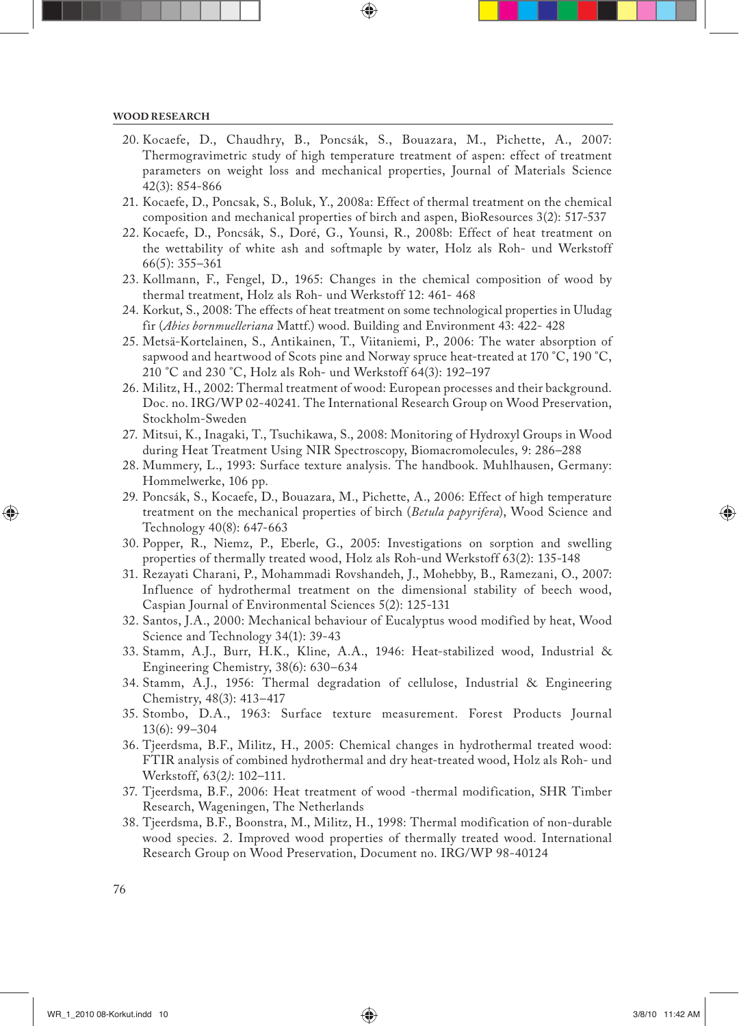- 20. Kocaefe, D., Chaudhry, B., Poncsák, S., Bouazara, M., Pichette, A., 2007: Thermogravimetric study of high temperature treatment of aspen: effect of treatment parameters on weight loss and mechanical properties, Journal of Materials Science 42(3): 854-866
- 21. Kocaefe, D., Poncsak, S., Boluk, Y., 2008a: Effect of thermal treatment on the chemical composition and mechanical properties of birch and aspen, BioResources 3(2): 517-537
- 22. Kocaefe, D., Poncsák, S., Doré, G., Younsi, R., 2008b: Effect of heat treatment on the wettability of white ash and softmaple by water, Holz als Roh- und Werkstoff 66(5): 355–361
- 23. Kollmann, F., Fengel, D., 1965: Changes in the chemical composition of wood by thermal treatment, Holz als Roh- und Werkstoff 12: 461- 468
- 24. Korkut, S., 2008: The effects of heat treatment on some technological properties in Uludag fir (*Abies bornmuelleriana* Mattf.) wood. Building and Environment 43: 422- 428
- 25. Metsä-Kortelainen, S., Antikainen, T., Viitaniemi, P., 2006: The water absorption of sapwood and heartwood of Scots pine and Norway spruce heat-treated at 170 °C, 190 °C, 210 °C and 230 °C, Holz als Roh- und Werkstoff 64(3): 192–197
- 26. Militz, H., 2002: Thermal treatment of wood: European processes and their background. Doc. no. IRG/WP 02-40241. The International Research Group on Wood Preservation, Stockholm-Sweden
- 27. Mitsui, K., Inagaki, T., Tsuchikawa, S., 2008: Monitoring of Hydroxyl Groups in Wood during Heat Treatment Using NIR Spectroscopy, Biomacromolecules, 9: 286–288
- 28. Mummery, L., 1993: Surface texture analysis. The handbook. Muhlhausen, Germany: Hommelwerke, 106 pp.
- 29. Poncsák, S., Kocaefe, D., Bouazara, M., Pichette, A., 2006: Effect of high temperature treatment on the mechanical properties of birch (*Betula papyrifera*), Wood Science and Technology 40(8): 647-663
- 30. Popper, R., Niemz, P., Eberle, G., 2005: Investigations on sorption and swelling properties of thermally treated wood, Holz als Roh-und Werkstoff 63(2): 135-148
- 31. Rezayati Charani, P., Mohammadi Rovshandeh, J., Mohebby, B., Ramezani, O., 2007: Influence of hydrothermal treatment on the dimensional stability of beech wood, Caspian Journal of Environmental Sciences 5(2): 125-131
- 32. Santos, J.A., 2000: Mechanical behaviour of Eucalyptus wood modified by heat, Wood Science and Technology 34(1): 39-43
- 33. Stamm, A.J., Burr, H.K., Kline, A.A., 1946: Heat-stabilized wood, Industrial & Engineering Chemistry, 38(6): 630–634
- 34. Stamm, A.J., 1956: Thermal degradation of cellulose, Industrial & Engineering Chemistry, 48(3): 413–417
- 35. Stombo, D.A., 1963: Surface texture measurement. Forest Products Journal 13(6): 99–304
- 36. Tjeerdsma, B.F., Militz, H., 2005: Chemical changes in hydrothermal treated wood: FTIR analysis of combined hydrothermal and dry heat-treated wood, Holz als Roh- und Werkstoff, 63(2*)*: 102–111.
- 37. Tjeerdsma, B.F., 2006: Heat treatment of wood -thermal modification, SHR Timber Research, Wageningen, The Netherlands
- 38. Tjeerdsma, B.F., Boonstra, M., Militz, H., 1998: Thermal modification of non-durable wood species. 2. Improved wood properties of thermally treated wood. International Research Group on Wood Preservation, Document no. IRG/WP 98-40124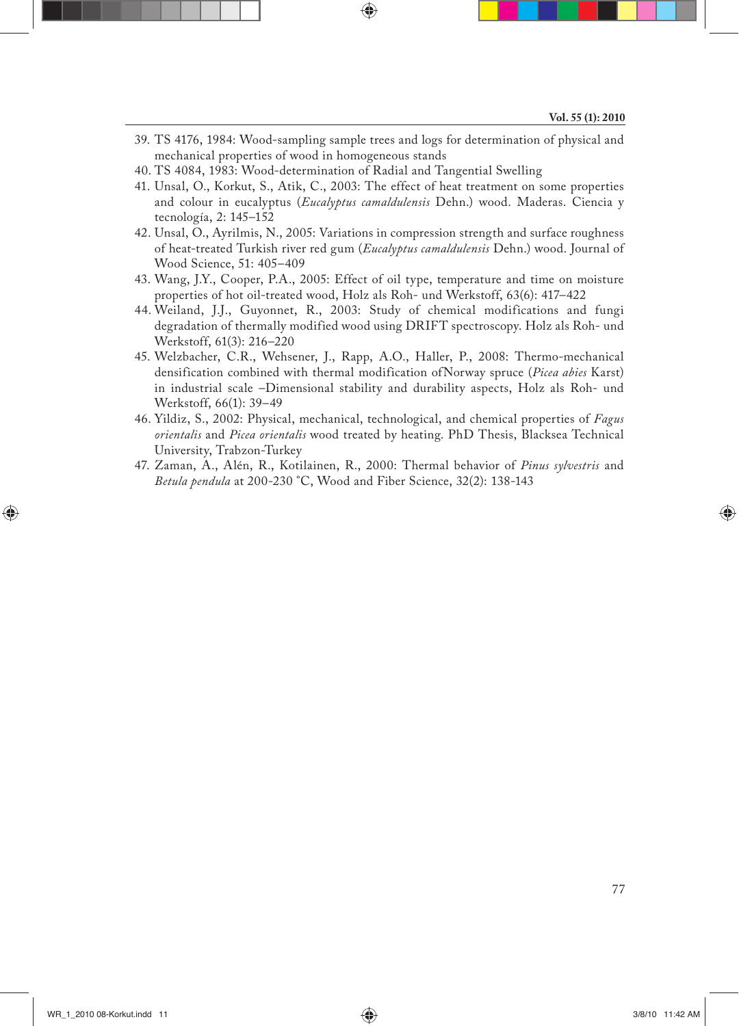- 39. TS 4176, 1984: Wood-sampling sample trees and logs for determination of physical and mechanical properties of wood in homogeneous stands
- 40. TS 4084, 1983: Wood-determination of Radial and Tangential Swelling
- 41. Unsal, O., Korkut, S., Atik, C., 2003: The effect of heat treatment on some properties and colour in eucalyptus (*Eucalyptus camaldulensis* Dehn.) wood. Maderas. Ciencia y tecnología, 2: 145–152
- 42. Unsal, O., Ayrilmis, N., 2005: Variations in compression strength and surface roughness of heat-treated Turkish river red gum (*Eucalyptus camaldulensis* Dehn.) wood. Journal of Wood Science, 51: 405–409
- 43. Wang, J.Y., Cooper, P.A., 2005: Effect of oil type, temperature and time on moisture properties of hot oil-treated wood, Holz als Roh- und Werkstoff, 63(6): 417–422
- 44. Weiland, J.J., Guyonnet, R., 2003: Study of chemical modifications and fungi degradation of thermally modified wood using DRIFT spectroscopy. Holz als Roh- und Werkstoff, 61(3): 216–220
- 45. Welzbacher, C.R., Wehsener, J., Rapp, A.O., Haller, P., 2008: Thermo-mechanical densification combined with thermal modification ofNorway spruce (*Picea abies* Karst) in industrial scale –Dimensional stability and durability aspects, Holz als Roh- und Werkstoff, 66(1): 39–49
- 46. Yildiz, S., 2002: Physical, mechanical, technological, and chemical properties of *Fagus orientalis* and *Picea orientalis* wood treated by heating. PhD Thesis, Blacksea Technical University, Trabzon-Turkey
- 47. Zaman, A., Alén, R., Kotilainen, R., 2000: Thermal behavior of *Pinus sylvestris* and *Betula pendula* at 200-230 °C, Wood and Fiber Science, 32(2): 138-143